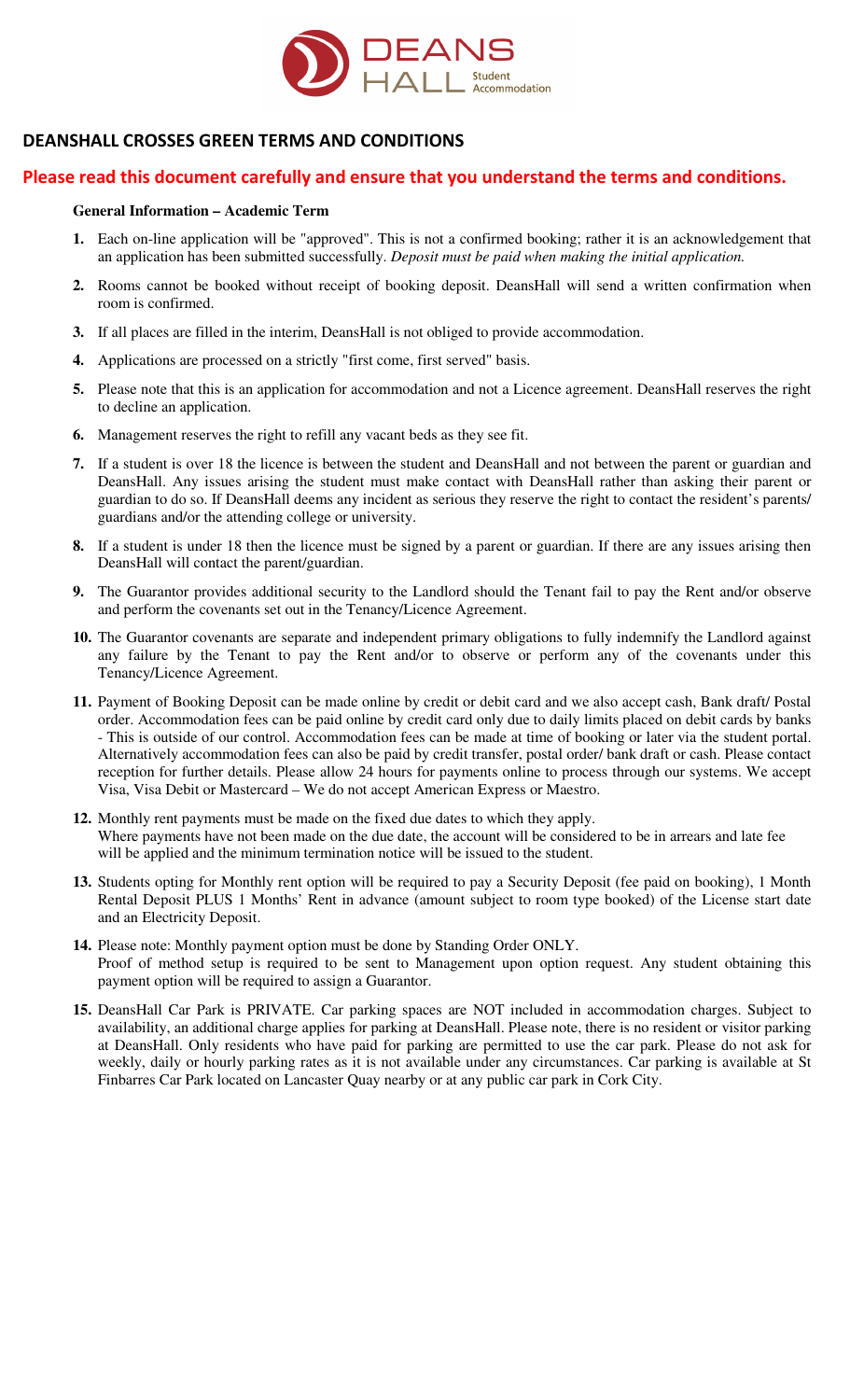

## **DEANSHALL CROSSES GREEN TERMS AND CONDITIONS**

## **Please read this document carefully and ensure that you understand the terms and conditions.**

## **General Information – Academic Term**

- **1.** Each on-line application will be "approved". This is not a confirmed booking; rather it is an acknowledgement that an application has been submitted successfully. *Deposit must be paid when making the initial application.*
- **2.** Rooms cannot be booked without receipt of booking deposit. DeansHall will send a written confirmation when room is confirmed.
- **3.** If all places are filled in the interim, DeansHall is not obliged to provide accommodation.
- **4.** Applications are processed on a strictly "first come, first served" basis.
- **5.** Please note that this is an application for accommodation and not a Licence agreement. DeansHall reserves the right to decline an application.
- **6.** Management reserves the right to refill any vacant beds as they see fit.
- **7.** If a student is over 18 the licence is between the student and DeansHall and not between the parent or guardian and DeansHall. Any issues arising the student must make contact with DeansHall rather than asking their parent or guardian to do so. If DeansHall deems any incident as serious they reserve the right to contact the resident's parents/ guardians and/or the attending college or university.
- **8.** If a student is under 18 then the licence must be signed by a parent or guardian. If there are any issues arising then DeansHall will contact the parent/guardian.
- **9.** The Guarantor provides additional security to the Landlord should the Tenant fail to pay the Rent and/or observe and perform the covenants set out in the Tenancy/Licence Agreement.
- **10.** The Guarantor covenants are separate and independent primary obligations to fully indemnify the Landlord against any failure by the Tenant to pay the Rent and/or to observe or perform any of the covenants under this Tenancy/Licence Agreement.
- **11.** Payment of Booking Deposit can be made online by credit or debit card and we also accept cash, Bank draft/ Postal order. Accommodation fees can be paid online by credit card only due to daily limits placed on debit cards by banks - This is outside of our control. Accommodation fees can be made at time of booking or later via the student portal. Alternatively accommodation fees can also be paid by credit transfer, postal order/ bank draft or cash. Please contact reception for further details. Please allow 24 hours for payments online to process through our systems. We accept Visa, Visa Debit or Mastercard – We do not accept American Express or Maestro.
- **12.** Monthly rent payments must be made on the fixed due dates to which they apply. Where payments have not been made on the due date, the account will be considered to be in arrears and late fee will be applied and the minimum termination notice will be issued to the student.
- **13.** Students opting for Monthly rent option will be required to pay a Security Deposit (fee paid on booking), 1 Month Rental Deposit PLUS 1 Months' Rent in advance (amount subject to room type booked) of the License start date and an Electricity Deposit.
- **14.** Please note: Monthly payment option must be done by Standing Order ONLY. Proof of method setup is required to be sent to Management upon option request. Any student obtaining this payment option will be required to assign a Guarantor.
- **15.** DeansHall Car Park is PRIVATE. Car parking spaces are NOT included in accommodation charges. Subject to availability, an additional charge applies for parking at DeansHall. Please note, there is no resident or visitor parking at DeansHall. Only residents who have paid for parking are permitted to use the car park. Please do not ask for weekly, daily or hourly parking rates as it is not available under any circumstances. Car parking is available at St Finbarres Car Park located on Lancaster Quay nearby or at any public car park in Cork City.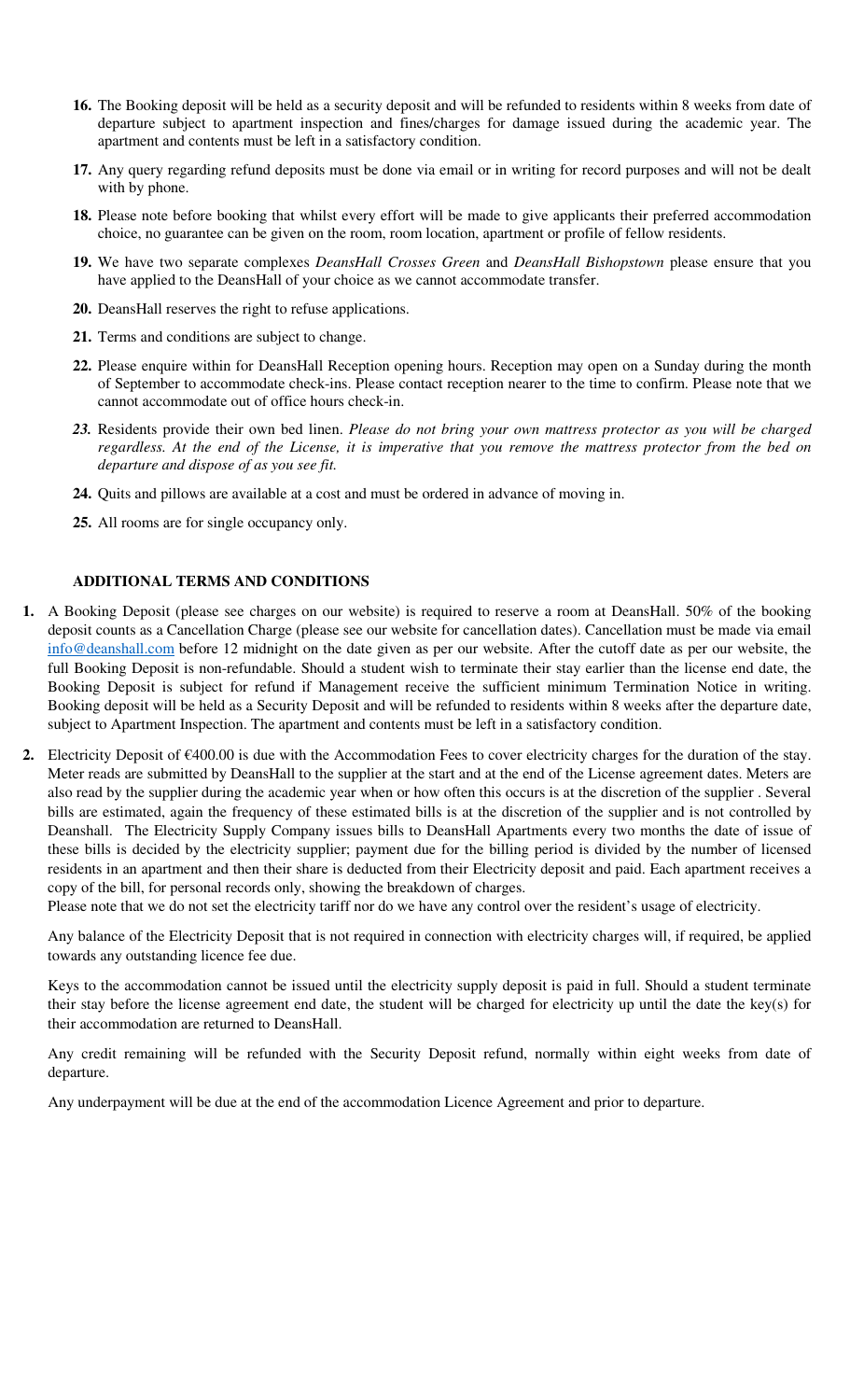- **16.** The Booking deposit will be held as a security deposit and will be refunded to residents within 8 weeks from date of departure subject to apartment inspection and fines/charges for damage issued during the academic year. The apartment and contents must be left in a satisfactory condition.
- **17.** Any query regarding refund deposits must be done via email or in writing for record purposes and will not be dealt with by phone.
- **18.** Please note before booking that whilst every effort will be made to give applicants their preferred accommodation choice, no guarantee can be given on the room, room location, apartment or profile of fellow residents.
- **19.** We have two separate complexes *DeansHall Crosses Green* and *DeansHall Bishopstown* please ensure that you have applied to the DeansHall of your choice as we cannot accommodate transfer.
- **20.** DeansHall reserves the right to refuse applications.
- **21.** Terms and conditions are subject to change.
- **22.** Please enquire within for DeansHall Reception opening hours. Reception may open on a Sunday during the month of September to accommodate check-ins. Please contact reception nearer to the time to confirm. Please note that we cannot accommodate out of office hours check-in.
- *23.* Residents provide their own bed linen. *Please do not bring your own mattress protector as you will be charged regardless. At the end of the License, it is imperative that you remove the mattress protector from the bed on departure and dispose of as you see fit.*
- **24.** Quits and pillows are available at a cost and must be ordered in advance of moving in.
- **25.** All rooms are for single occupancy only.

## **ADDITIONAL TERMS AND CONDITIONS**

- **1.** A Booking Deposit (please see charges on our website) is required to reserve a room at DeansHall. 50% of the booking deposit counts as a Cancellation Charge (please see our website for cancellation dates). Cancellation must be made via email info@deanshall.com before 12 midnight on the date given as per our website. After the cutoff date as per our website, the full Booking Deposit is non-refundable. Should a student wish to terminate their stay earlier than the license end date, the Booking Deposit is subject for refund if Management receive the sufficient minimum Termination Notice in writing. Booking deposit will be held as a Security Deposit and will be refunded to residents within 8 weeks after the departure date, subject to Apartment Inspection. The apartment and contents must be left in a satisfactory condition.
- **2.** Electricity Deposit of  $\epsilon$ 400.00 is due with the Accommodation Fees to cover electricity charges for the duration of the stay. Meter reads are submitted by DeansHall to the supplier at the start and at the end of the License agreement dates. Meters are also read by the supplier during the academic year when or how often this occurs is at the discretion of the supplier . Several bills are estimated, again the frequency of these estimated bills is at the discretion of the supplier and is not controlled by Deanshall. The Electricity Supply Company issues bills to DeansHall Apartments every two months the date of issue of these bills is decided by the electricity supplier; payment due for the billing period is divided by the number of licensed residents in an apartment and then their share is deducted from their Electricity deposit and paid. Each apartment receives a copy of the bill, for personal records only, showing the breakdown of charges.

Please note that we do not set the electricity tariff nor do we have any control over the resident's usage of electricity.

Any balance of the Electricity Deposit that is not required in connection with electricity charges will, if required, be applied towards any outstanding licence fee due.

Keys to the accommodation cannot be issued until the electricity supply deposit is paid in full. Should a student terminate their stay before the license agreement end date, the student will be charged for electricity up until the date the key(s) for their accommodation are returned to DeansHall.

Any credit remaining will be refunded with the Security Deposit refund, normally within eight weeks from date of departure.

Any underpayment will be due at the end of the accommodation Licence Agreement and prior to departure.